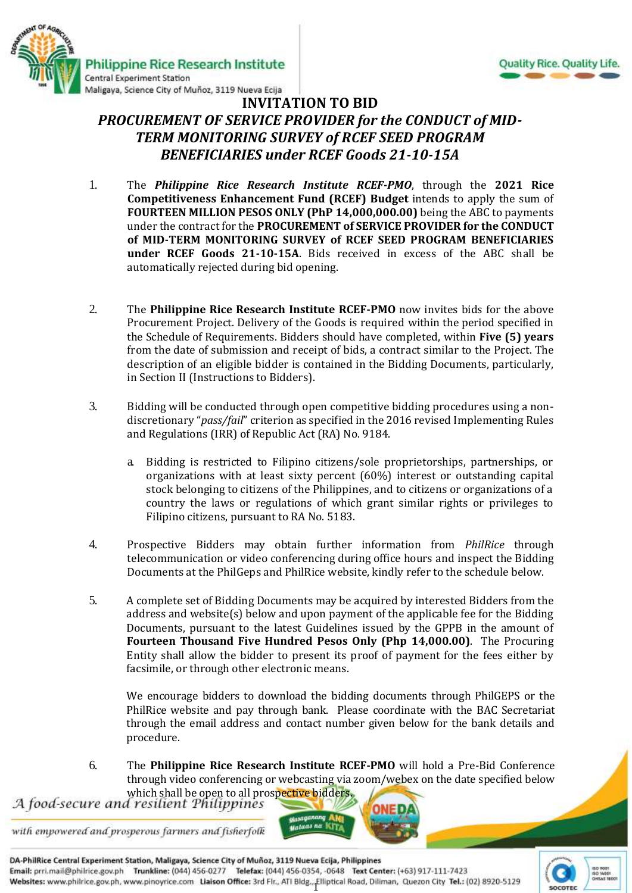



### **INVITATION TO BID** *PROCUREMENT OF SERVICE PROVIDER for the CONDUCT of MID-TERM MONITORING SURVEY of RCEF SEED PROGRAM BENEFICIARIES under RCEF Goods 21-10-15A*

- 1. The *Philippine Rice Research Institute RCEF-PMO*, through the **2021 Rice Competitiveness Enhancement Fund (RCEF) Budget** intends to apply the sum of **FOURTEEN MILLION PESOS ONLY (PhP 14,000,000.00)** being the ABC to payments under the contract for the **PROCUREMENT of SERVICE PROVIDER for the CONDUCT of MID-TERM MONITORING SURVEY of RCEF SEED PROGRAM BENEFICIARIES under RCEF Goods 21-10-15A**. Bids received in excess of the ABC shall be automatically rejected during bid opening.
- 2. The **Philippine Rice Research Institute RCEF-PMO** now invites bids for the above Procurement Project. Delivery of the Goods is required within the period specified in the Schedule of Requirements. Bidders should have completed, within **Five (5) years** from the date of submission and receipt of bids, a contract similar to the Project. The description of an eligible bidder is contained in the Bidding Documents, particularly, in Section II (Instructions to Bidders).
- 3. Bidding will be conducted through open competitive bidding procedures using a nondiscretionary "*pass/fail*" criterion as specified in the 2016 revised Implementing Rules and Regulations (IRR) of Republic Act (RA) No. 9184.
	- a. Bidding is restricted to Filipino citizens/sole proprietorships, partnerships, or organizations with at least sixty percent (60%) interest or outstanding capital stock belonging to citizens of the Philippines, and to citizens or organizations of a country the laws or regulations of which grant similar rights or privileges to Filipino citizens, pursuant to RA No. 5183.
- 4. Prospective Bidders may obtain further information from *PhilRice* through telecommunication or video conferencing during office hours and inspect the Bidding Documents at the PhilGeps and PhilRice website, kindly refer to the schedule below.
- 5. A complete set of Bidding Documents may be acquired by interested Bidders from the address and website(s) below and upon payment of the applicable fee for the Bidding Documents, pursuant to the latest Guidelines issued by the GPPB in the amount of **Fourteen Thousand Five Hundred Pesos Only (Php 14,000.00)**. The Procuring Entity shall allow the bidder to present its proof of payment for the fees either by facsimile, or through other electronic means.

We encourage bidders to download the bidding documents through PhilGEPS or the PhilRice website and pay through bank. Please coordinate with the BAC Secretariat through the email address and contact number given below for the bank details and procedure.

6. The **Philippine Rice Research Institute RCEF-PMO** will hold a Pre-Bid Conference through video conferencing or webcasting via zoom/webex on the date specified below

which shall be open to all prospective bidders.<br>A food-secure and resilient Philippines

with empowered and prosperous farmers and fisherfolk

DA-PhilRice Central Experiment Station, Maligaya, Science City of Muñoz, 3119 Nueva Ecija, Philippines Email: prri.mail@philrice.gov.ph Trunkline: (044) 456-0277 Telefax: (044) 456-0354, -0648 Text Center: (+63) 917-111-7423 Websites: www.philrice.gov.ph, www.pinoyrice.com Liaison Office: 3rd Flr., ATI Bldg., Elliptical Road, Diliman, Quezon City Tel.: (02) 8920-5129

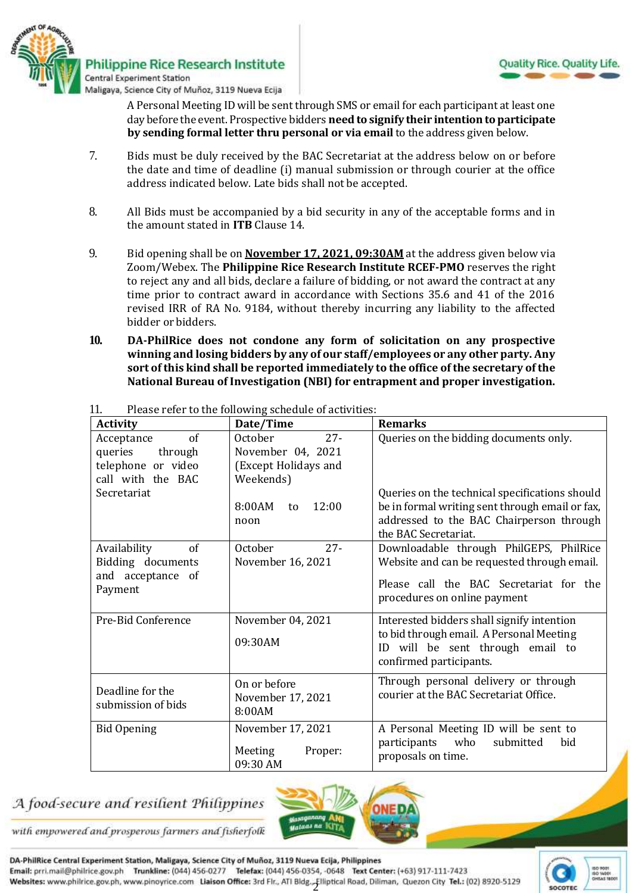

A Personal Meeting ID will be sent through SMS or email for each participant at least one day before the event. Prospective bidders **need to signify their intention to participate by sending formal letter thru personal or via email** to the address given below.

- 7. Bids must be duly received by the BAC Secretariat at the address below on or before the date and time of deadline (i) manual submission or through courier at the office address indicated below*.* Late bids shall not be accepted.
- 8. All Bids must be accompanied by a bid security in any of the acceptable forms and in the amount stated in **ITB** Clause 14.
- 9. Bid opening shall be on **November 17, 2021, 09:30AM** at the address given below via Zoom/Webex. The **Philippine Rice Research Institute RCEF-PMO** reserves the right to reject any and all bids, declare a failure of bidding, or not award the contract at any time prior to contract award in accordance with Sections 35.6 and 41 of the 2016 revised IRR of RA No. 9184, without thereby incurring any liability to the affected bidder or bidders.
- **10. DA-PhilRice does not condone any form of solicitation on any prospective winning and losing bidders by any of our staff/employees or any other party. Any sort of this kind shall be reported immediately to the office of the secretary of the National Bureau of Investigation (NBI) for entrapment and proper investigation.**

| <b>Activity</b>                                                                   | Date/Time                                                                   | <b>Remarks</b>                                                                                                                                                        |
|-----------------------------------------------------------------------------------|-----------------------------------------------------------------------------|-----------------------------------------------------------------------------------------------------------------------------------------------------------------------|
| of<br>Acceptance<br>queries<br>through<br>telephone or video<br>call with the BAC | $27 -$<br>October<br>November 04, 2021<br>(Except Holidays and<br>Weekends) | Queries on the bidding documents only.                                                                                                                                |
| Secretariat                                                                       | 8:00AM<br>12:00<br>to<br>noon                                               | Queries on the technical specifications should<br>be in formal writing sent through email or fax,<br>addressed to the BAC Chairperson through<br>the BAC Secretariat. |
| Availability<br>of<br>Bidding documents<br>and acceptance of<br>Payment           | October<br>$27 -$<br>November 16, 2021                                      | Downloadable through PhilGEPS, PhilRice<br>Website and can be requested through email.<br>Please call the BAC Secretariat for the<br>procedures on online payment     |
| Pre-Bid Conference                                                                | November 04, 2021<br>09:30AM                                                | Interested bidders shall signify intention<br>to bid through email. A Personal Meeting<br>will be sent through email to<br>ID<br>confirmed participants.              |
| Deadline for the<br>submission of bids                                            | On or before<br>November 17, 2021<br>8:00AM                                 | Through personal delivery or through<br>courier at the BAC Secretariat Office.                                                                                        |
| <b>Bid Opening</b>                                                                | November 17, 2021<br>Meeting<br>Proper:<br>09:30 AM                         | A Personal Meeting ID will be sent to<br>participants<br>who<br>submitted<br>bid<br>proposals on time.                                                                |

11. Please refer to the following schedule of activities:

# A food-secure and resilient Philippines



with empowered and prosperous farmers and fisherfolk

DA-PhilRice Central Experiment Station, Maligaya, Science City of Muñoz, 3119 Nueva Ecija, Philippines Email: prri.mail@philrice.gov.ph Trunkline: (044) 456-0277 Telefax: (044) 456-0354, -0648 Text Center: (+63) 917-111-7423 Websites: www.philrice.gov.ph, www.pinoyrice.com Liaison Office: 3rd Flr., ATI Bldg., Elliptical Road, Diliman, Quezon City Tel.: (02) 8920-5129